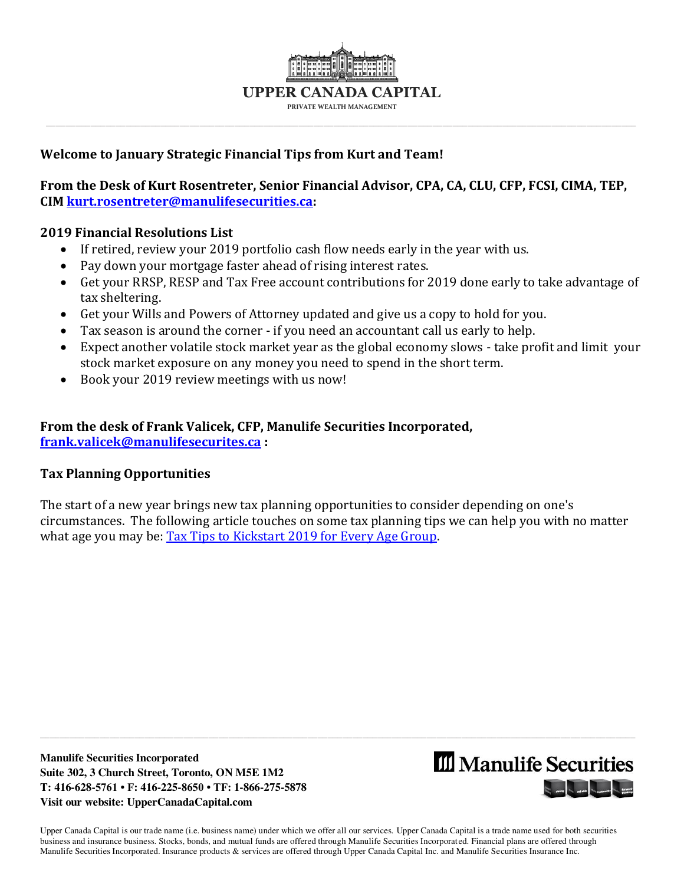

\_\_\_\_\_\_\_\_\_\_\_\_\_\_\_\_\_\_\_\_\_\_\_\_\_\_\_\_\_\_\_\_\_\_\_\_\_\_\_\_\_\_\_\_\_\_\_\_\_\_\_\_\_\_\_\_\_\_\_\_\_\_\_\_\_\_\_\_\_\_\_\_\_\_\_\_\_\_\_\_\_\_\_\_\_\_\_\_\_\_\_\_\_\_\_\_\_\_\_\_\_\_\_\_\_\_\_\_\_\_\_\_\_\_\_\_\_\_\_

# **Welcome to January Strategic Financial Tips from Kurt and Team!**

# **From the Desk of Kurt Rosentreter, Senior Financial Advisor, CPA, CA, CLU, CFP, FCSI, CIMA, TEP, CIM [kurt.rosentreter@manulifesecurities.ca:](mailto:kurt.rosentreter@manulifesecurities.ca)**

## **2019 Financial Resolutions List**

- If retired, review your 2019 portfolio cash flow needs early in the year with us.
- Pay down your mortgage faster ahead of rising interest rates.
- Get your RRSP, RESP and Tax Free account contributions for 2019 done early to take advantage of tax sheltering.
- Get your Wills and Powers of Attorney updated and give us a copy to hold for you.
- Tax season is around the corner if you need an accountant call us early to help.
- Expect another volatile stock market year as the global economy slows take profit and limit your stock market exposure on any money you need to spend in the short term.
- Book your 2019 review meetings with us now!

# **From the desk of Frank Valicek, CFP, Manulife Securities Incorporated, [frank.valicek@manulifesecurites.ca](mailto:frank.valicek@manulifesecurites.ca) :**

## **Tax Planning Opportunities**

The start of a new year brings new tax planning opportunities to consider depending on one's circumstances. The following article touches on some tax planning tips we can help you with no matter what age you may be: [Tax Tips to Kickstart 2019 for Every Age Group.](https://business.financialpost.com/personal-finance/taxes/tax-tips-to-kickstart-2019-for-every-age-group-from-teens-to-seniors)

**Manulife Securities Incorporated Suite 302, 3 Church Street, Toronto, ON M5E 1M2 T: 416-628-5761 • F: 416-225-8650 • TF: 1-866-275-5878 Visit our website: UpperCanadaCapital.com** 

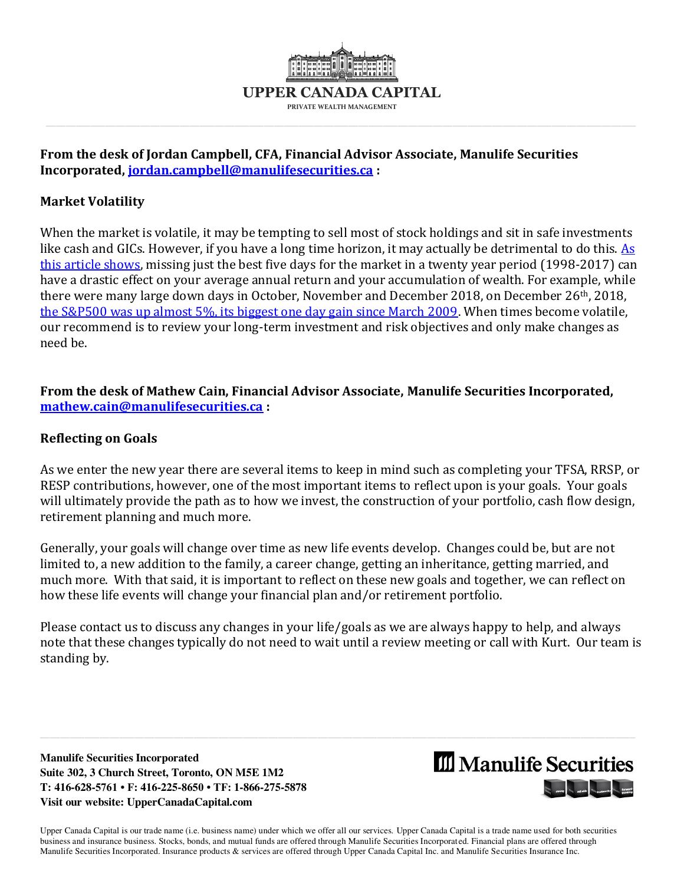

\_\_\_\_\_\_\_\_\_\_\_\_\_\_\_\_\_\_\_\_\_\_\_\_\_\_\_\_\_\_\_\_\_\_\_\_\_\_\_\_\_\_\_\_\_\_\_\_\_\_\_\_\_\_\_\_\_\_\_\_\_\_\_\_\_\_\_\_\_\_\_\_\_\_\_\_\_\_\_\_\_\_\_\_\_\_\_\_\_\_\_\_\_\_\_\_\_\_\_\_\_\_\_\_\_\_\_\_\_\_\_\_\_\_\_\_\_\_\_

## **From the desk of Jordan Campbell, CFA, Financial Advisor Associate, Manulife Securities Incorporated, [jordan.campbell@manulifesecurities.ca](mailto:jordan.campbell@manulifesecurities.ca) :**

# **Market Volatility**

When the market is volatile, it may be tempting to sell most of stock holdings and sit in safe investments like cash and GICs. However, if you have a long time horizon, it may actually be detrimental to do this. As [this article shows,](https://www.ifa.com/12steps/step4/missing_the_best_and_worst_days/) missing just the best five days for the market in a twenty year period (1998-2017) can have a drastic effect on your average annual return and your accumulation of wealth. For example, while there were many large down days in October, November and December 2018, on December 26th, 2018, [the S&P500 was up almost 5%, its biggest one day gain since March 2009.](https://www.cnn.com/2018/12/26/investing/stock-market-today/index.html) When times become volatile, our recommend is to review your long-term investment and risk objectives and only make changes as need be.

**From the desk of Mathew Cain, Financial Advisor Associate, Manulife Securities Incorporated, [mathew.cain@manulifesecurities.ca](mailto:mathew.cain@manulifesecurities.ca) :** 

#### **Reflecting on Goals**

As we enter the new year there are several items to keep in mind such as completing your TFSA, RRSP, or RESP contributions, however, one of the most important items to reflect upon is your goals. Your goals will ultimately provide the path as to how we invest, the construction of your portfolio, cash flow design, retirement planning and much more.

Generally, your goals will change over time as new life events develop. Changes could be, but are not limited to, a new addition to the family, a career change, getting an inheritance, getting married, and much more. With that said, it is important to reflect on these new goals and together, we can reflect on how these life events will change your financial plan and/or retirement portfolio.

Please contact us to discuss any changes in your life/goals as we are always happy to help, and always note that these changes typically do not need to wait until a review meeting or call with Kurt. Our team is standing by.

**Manulife Securities Incorporated Suite 302, 3 Church Street, Toronto, ON M5E 1M2 T: 416-628-5761 • F: 416-225-8650 • TF: 1-866-275-5878 Visit our website: UpperCanadaCapital.com** 

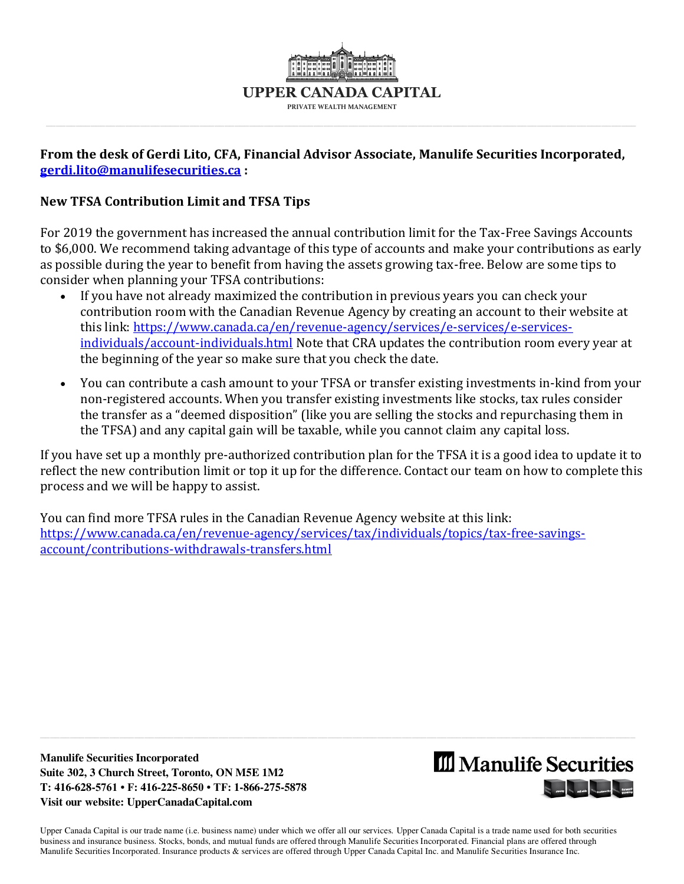

## **From the desk of Gerdi Lito, CFA, Financial Advisor Associate, Manulife Securities Incorporated, [gerdi.lito@manulifesecurities.ca](mailto:gerdi.lito@manulifesecurities.ca) :**

## **New TFSA Contribution Limit and TFSA Tips**

For 2019 the government has increased the annual contribution limit for the Tax-Free Savings Accounts to \$6,000. We recommend taking advantage of this type of accounts and make your contributions as early as possible during the year to benefit from having the assets growing tax-free. Below are some tips to consider when planning your TFSA contributions:

- If you have not already maximized the contribution in previous years you can check your contribution room with the Canadian Revenue Agency by creating an account to their website at this link: [https://www.canada.ca/en/revenue-agency/services/e-services/e-services](https://www.canada.ca/en/revenue-agency/services/e-services/e-services-individuals/account-individuals.html)[individuals/account-individuals.html](https://www.canada.ca/en/revenue-agency/services/e-services/e-services-individuals/account-individuals.html) Note that CRA updates the contribution room every year at the beginning of the year so make sure that you check the date.
- You can contribute a cash amount to your TFSA or transfer existing investments in-kind from your non-registered accounts. When you transfer existing investments like stocks, tax rules consider the transfer as a "deemed disposition" (like you are selling the stocks and repurchasing them in the TFSA) and any capital gain will be taxable, while you cannot claim any capital loss.

If you have set up a monthly pre-authorized contribution plan for the TFSA it is a good idea to update it to reflect the new contribution limit or top it up for the difference. Contact our team on how to complete this process and we will be happy to assist.

You can find more TFSA rules in the Canadian Revenue Agency website at this link: [https://www.canada.ca/en/revenue-agency/services/tax/individuals/topics/tax-free-savings](https://www.canada.ca/en/revenue-agency/services/tax/individuals/topics/tax-free-savings-account/contributions-withdrawals-transfers.html)[account/contributions-withdrawals-transfers.html](https://www.canada.ca/en/revenue-agency/services/tax/individuals/topics/tax-free-savings-account/contributions-withdrawals-transfers.html) 

**Manulife Securities Incorporated Suite 302, 3 Church Street, Toronto, ON M5E 1M2 T: 416-628-5761 • F: 416-225-8650 • TF: 1-866-275-5878 Visit our website: UpperCanadaCapital.com** 

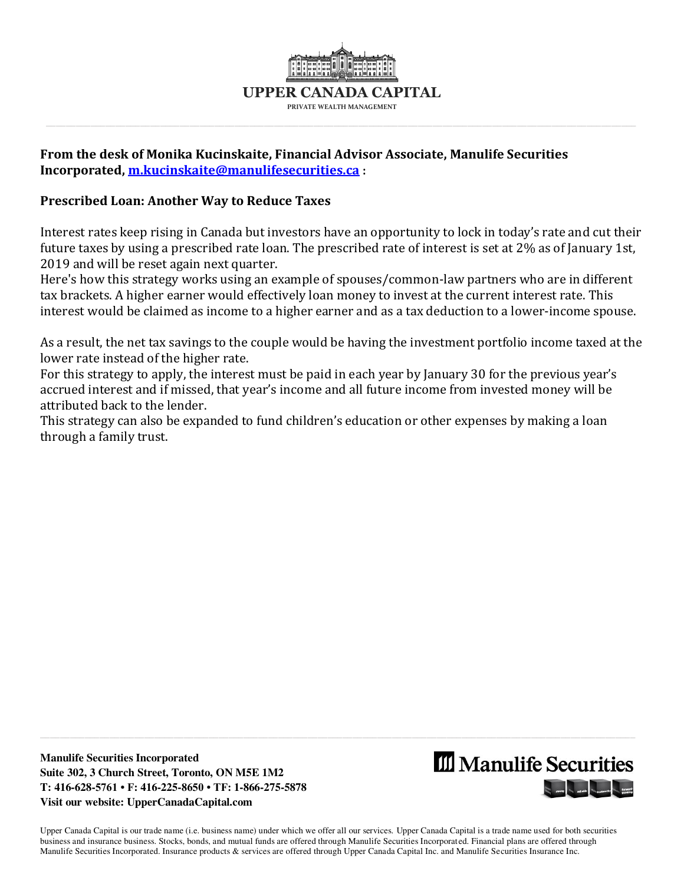

## **From the desk of Monika Kucinskaite, Financial Advisor Associate, Manulife Securities Incorporated, [m.kucinskaite@manulifesecurities.ca](mailto:m.kucinskaite@manulifesecurities.ca) :**

#### **Prescribed Loan: Another Way to Reduce Taxes**

Interest rates keep rising in Canada but investors have an opportunity to lock in today's rate and cut their future taxes by using a prescribed rate loan. The prescribed rate of interest is set at 2% as of January 1st, 2019 and will be reset again next quarter.

Here's how this strategy works using an example of spouses/common-law partners who are in different tax brackets. A higher earner would effectively loan money to invest at the current interest rate. This interest would be claimed as income to a higher earner and as a tax deduction to a lower-income spouse.

As a result, the net tax savings to the couple would be having the investment portfolio income taxed at the lower rate instead of the higher rate.

For this strategy to apply, the interest must be paid in each year by January 30 for the previous year's accrued interest and if missed, that year's income and all future income from invested money will be attributed back to the lender.

This strategy can also be expanded to fund children's education or other expenses by making a loan through a family trust.

**Manulife Securities Incorporated Suite 302, 3 Church Street, Toronto, ON M5E 1M2 T: 416-628-5761 • F: 416-225-8650 • TF: 1-866-275-5878 Visit our website: UpperCanadaCapital.com**